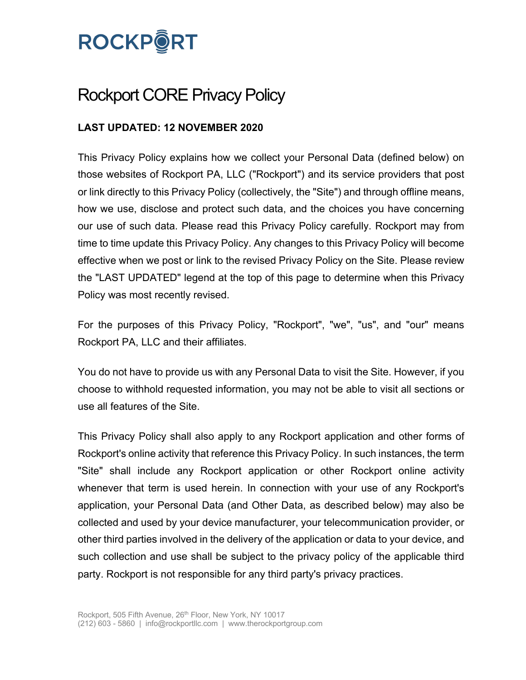

# Rockport CORE Privacy Policy

# **LAST UPDATED: 12 NOVEMBER 2020**

This Privacy Policy explains how we collect your Personal Data (defined below) on those websites of Rockport PA, LLC ("Rockport") and its service providers that post or link directly to this Privacy Policy (collectively, the "Site") and through offline means, how we use, disclose and protect such data, and the choices you have concerning our use of such data. Please read this Privacy Policy carefully. Rockport may from time to time update this Privacy Policy. Any changes to this Privacy Policy will become effective when we post or link to the revised Privacy Policy on the Site. Please review the "LAST UPDATED" legend at the top of this page to determine when this Privacy Policy was most recently revised.

For the purposes of this Privacy Policy, "Rockport", "we", "us", and "our" means Rockport PA, LLC and their affiliates.

You do not have to provide us with any Personal Data to visit the Site. However, if you choose to withhold requested information, you may not be able to visit all sections or use all features of the Site.

This Privacy Policy shall also apply to any Rockport application and other forms of Rockport's online activity that reference this Privacy Policy. In such instances, the term "Site" shall include any Rockport application or other Rockport online activity whenever that term is used herein. In connection with your use of any Rockport's application, your Personal Data (and Other Data, as described below) may also be collected and used by your device manufacturer, your telecommunication provider, or other third parties involved in the delivery of the application or data to your device, and such collection and use shall be subject to the privacy policy of the applicable third party. Rockport is not responsible for any third party's privacy practices.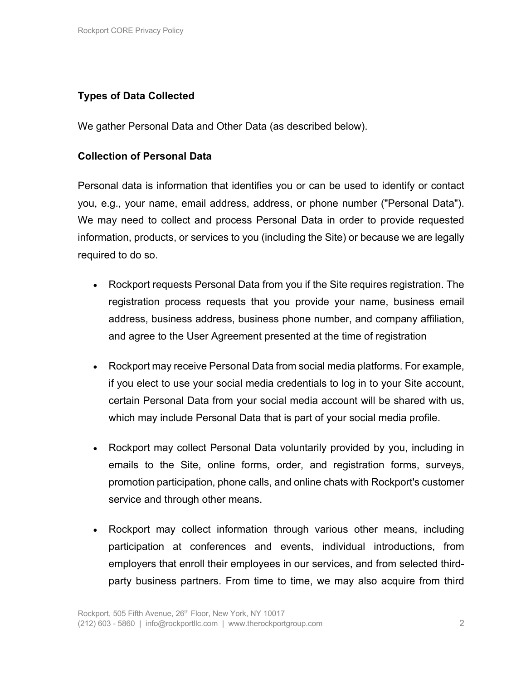# **Types of Data Collected**

We gather Personal Data and Other Data (as described below).

# **Collection of Personal Data**

Personal data is information that identifies you or can be used to identify or contact you, e.g., your name, email address, address, or phone number ("Personal Data"). We may need to collect and process Personal Data in order to provide requested information, products, or services to you (including the Site) or because we are legally required to do so.

- Rockport requests Personal Data from you if the Site requires registration. The registration process requests that you provide your name, business email address, business address, business phone number, and company affiliation, and agree to the User Agreement presented at the time of registration
- Rockport may receive Personal Data from social media platforms. For example, if you elect to use your social media credentials to log in to your Site account, certain Personal Data from your social media account will be shared with us, which may include Personal Data that is part of your social media profile.
- Rockport may collect Personal Data voluntarily provided by you, including in emails to the Site, online forms, order, and registration forms, surveys, promotion participation, phone calls, and online chats with Rockport's customer service and through other means.
- Rockport may collect information through various other means, including participation at conferences and events, individual introductions, from employers that enroll their employees in our services, and from selected thirdparty business partners. From time to time, we may also acquire from third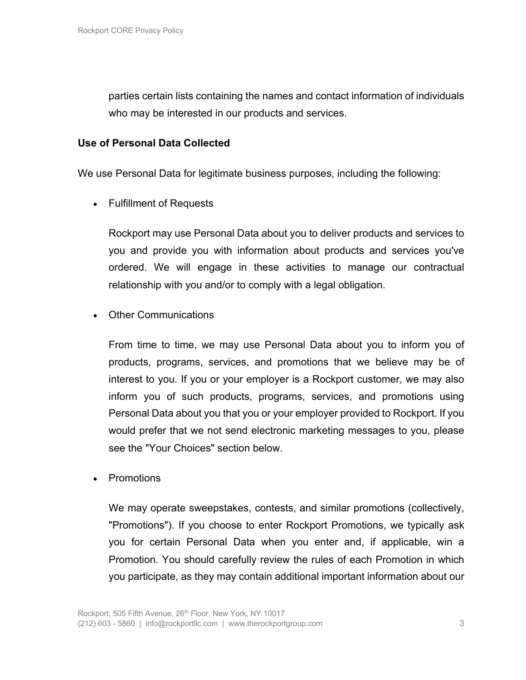parties certain lists containing the names and contact information of individuals who may be interested in our products and services.

#### **Use of Personal Data Collected**

We use Personal Data for legitimate business purposes, including the following:

• Fulfillment of Requests

Rockport may use Personal Data about you to deliver products and services to you and provide you with information about products and services you've ordered. We will engage in these activities to manage our contractual relationship with you and/or to comply with a legal obligation.

• Other Communications

From time to time, we may use Personal Data about you to inform you of products, programs, services, and promotions that we believe may be of interest to you. If you or your employer is a Rockport customer, we may also inform you of such products, programs, services, and promotions using Personal Data about you that you or your employer provided to Rockport. If you would prefer that we not send electronic marketing messages to you, please see the "Your Choices" section below.

**Promotions** 

We may operate sweepstakes, contests, and similar promotions (collectively, "Promotions"). If you choose to enter Rockport Promotions, we typically ask you for certain Personal Data when you enter and, if applicable, win a Promotion. You should carefully review the rules of each Promotion in which you participate, as they may contain additional important information about our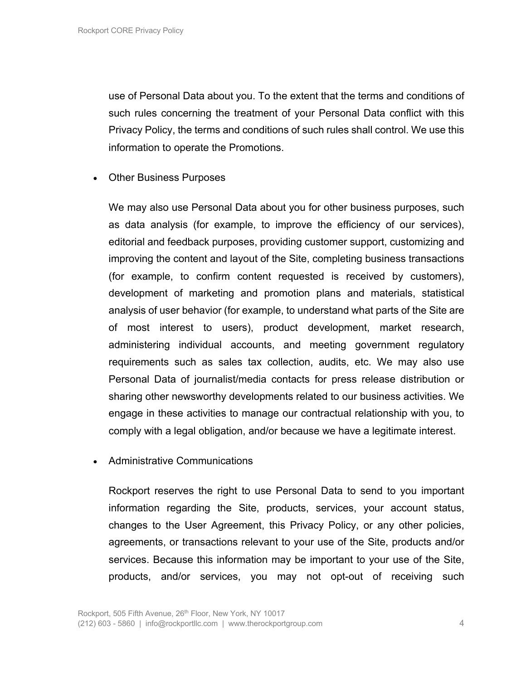use of Personal Data about you. To the extent that the terms and conditions of such rules concerning the treatment of your Personal Data conflict with this Privacy Policy, the terms and conditions of such rules shall control. We use this information to operate the Promotions.

• Other Business Purposes

We may also use Personal Data about you for other business purposes, such as data analysis (for example, to improve the efficiency of our services), editorial and feedback purposes, providing customer support, customizing and improving the content and layout of the Site, completing business transactions (for example, to confirm content requested is received by customers), development of marketing and promotion plans and materials, statistical analysis of user behavior (for example, to understand what parts of the Site are of most interest to users), product development, market research, administering individual accounts, and meeting government regulatory requirements such as sales tax collection, audits, etc. We may also use Personal Data of journalist/media contacts for press release distribution or sharing other newsworthy developments related to our business activities. We engage in these activities to manage our contractual relationship with you, to comply with a legal obligation, and/or because we have a legitimate interest.

• Administrative Communications

Rockport reserves the right to use Personal Data to send to you important information regarding the Site, products, services, your account status, changes to the User Agreement, this Privacy Policy, or any other policies, agreements, or transactions relevant to your use of the Site, products and/or services. Because this information may be important to your use of the Site, products, and/or services, you may not opt-out of receiving such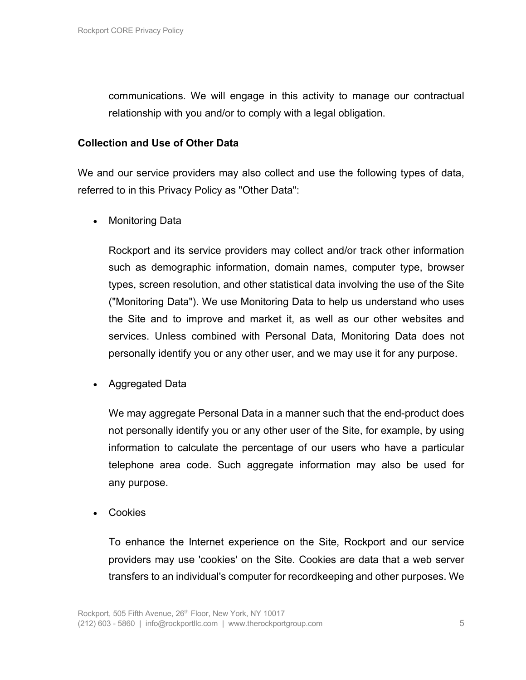communications. We will engage in this activity to manage our contractual relationship with you and/or to comply with a legal obligation.

### **Collection and Use of Other Data**

We and our service providers may also collect and use the following types of data, referred to in this Privacy Policy as "Other Data":

• Monitoring Data

Rockport and its service providers may collect and/or track other information such as demographic information, domain names, computer type, browser types, screen resolution, and other statistical data involving the use of the Site ("Monitoring Data"). We use Monitoring Data to help us understand who uses the Site and to improve and market it, as well as our other websites and services. Unless combined with Personal Data, Monitoring Data does not personally identify you or any other user, and we may use it for any purpose.

• Aggregated Data

We may aggregate Personal Data in a manner such that the end-product does not personally identify you or any other user of the Site, for example, by using information to calculate the percentage of our users who have a particular telephone area code. Such aggregate information may also be used for any purpose.

• Cookies

To enhance the Internet experience on the Site, Rockport and our service providers may use 'cookies' on the Site. Cookies are data that a web server transfers to an individual's computer for recordkeeping and other purposes. We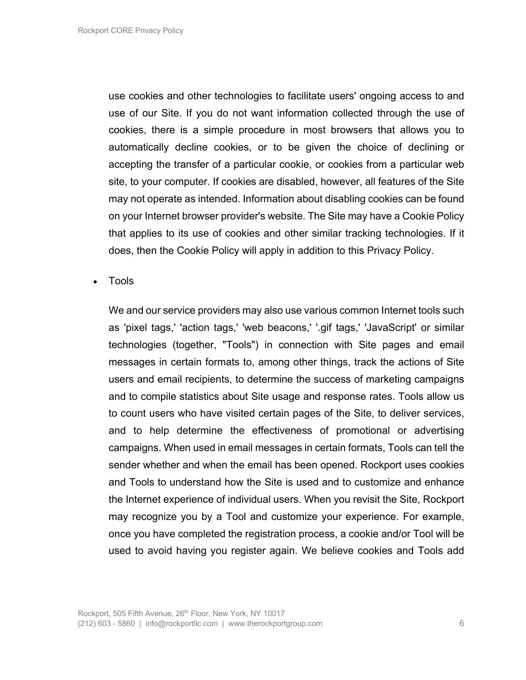use cookies and other technologies to facilitate users' ongoing access to and use of our Site. If you do not want information collected through the use of cookies, there is a simple procedure in most browsers that allows you to automatically decline cookies, or to be given the choice of declining or accepting the transfer of a particular cookie, or cookies from a particular web site, to your computer. If cookies are disabled, however, all features of the Site may not operate as intended. Information about disabling cookies can be found on your Internet browser provider's website. The Site may have a Cookie Policy that applies to its use of cookies and other similar tracking technologies. If it does, then the Cookie Policy will apply in addition to this Privacy Policy.

• Tools

We and our service providers may also use various common Internet tools such as 'pixel tags,' 'action tags,' 'web beacons,' '.gif tags,' 'JavaScript' or similar technologies (together, "Tools") in connection with Site pages and email messages in certain formats to, among other things, track the actions of Site users and email recipients, to determine the success of marketing campaigns and to compile statistics about Site usage and response rates. Tools allow us to count users who have visited certain pages of the Site, to deliver services, and to help determine the effectiveness of promotional or advertising campaigns. When used in email messages in certain formats, Tools can tell the sender whether and when the email has been opened. Rockport uses cookies and Tools to understand how the Site is used and to customize and enhance the Internet experience of individual users. When you revisit the Site, Rockport may recognize you by a Tool and customize your experience. For example, once you have completed the registration process, a cookie and/or Tool will be used to avoid having you register again. We believe cookies and Tools add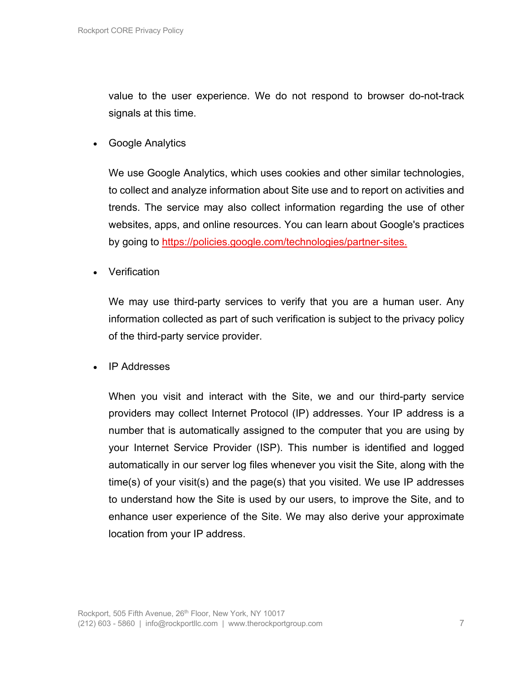value to the user experience. We do not respond to browser do-not-track signals at this time.

• Google Analytics

We use Google Analytics, which uses cookies and other similar technologies, to collect and analyze information about Site use and to report on activities and trends. The service may also collect information regarding the use of other websites, apps, and online resources. You can learn about Google's practices by going to https://policies.google.com/technologies/partner-sites.

• Verification

We may use third-party services to verify that you are a human user. Any information collected as part of such verification is subject to the privacy policy of the third-party service provider.

• IP Addresses

When you visit and interact with the Site, we and our third-party service providers may collect Internet Protocol (IP) addresses. Your IP address is a number that is automatically assigned to the computer that you are using by your Internet Service Provider (ISP). This number is identified and logged automatically in our server log files whenever you visit the Site, along with the time(s) of your visit(s) and the page(s) that you visited. We use IP addresses to understand how the Site is used by our users, to improve the Site, and to enhance user experience of the Site. We may also derive your approximate location from your IP address.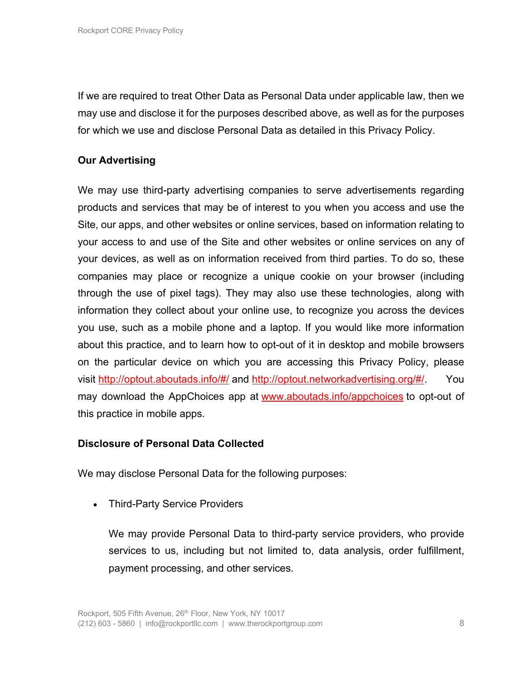If we are required to treat Other Data as Personal Data under applicable law, then we may use and disclose it for the purposes described above, as well as for the purposes for which we use and disclose Personal Data as detailed in this Privacy Policy.

# **Our Advertising**

We may use third-party advertising companies to serve advertisements regarding products and services that may be of interest to you when you access and use the Site, our apps, and other websites or online services, based on information relating to your access to and use of the Site and other websites or online services on any of your devices, as well as on information received from third parties. To do so, these companies may place or recognize a unique cookie on your browser (including through the use of pixel tags). They may also use these technologies, along with information they collect about your online use, to recognize you across the devices you use, such as a mobile phone and a laptop. If you would like more information about this practice, and to learn how to opt-out of it in desktop and mobile browsers on the particular device on which you are accessing this Privacy Policy, please visit http://optout.aboutads.info/#/ and http://optout.networkadvertising.org/#/. You may download the AppChoices app at www.aboutads.info/appchoices to opt-out of this practice in mobile apps.

#### **Disclosure of Personal Data Collected**

We may disclose Personal Data for the following purposes:

• Third-Party Service Providers

We may provide Personal Data to third-party service providers, who provide services to us, including but not limited to, data analysis, order fulfillment, payment processing, and other services.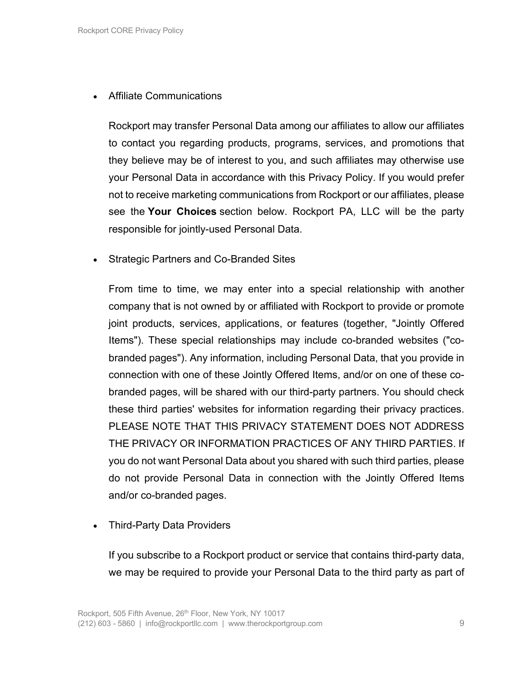# • Affiliate Communications

Rockport may transfer Personal Data among our affiliates to allow our affiliates to contact you regarding products, programs, services, and promotions that they believe may be of interest to you, and such affiliates may otherwise use your Personal Data in accordance with this Privacy Policy. If you would prefer not to receive marketing communications from Rockport or our affiliates, please see the **Your Choices** section below. Rockport PA, LLC will be the party responsible for jointly-used Personal Data.

• Strategic Partners and Co-Branded Sites

From time to time, we may enter into a special relationship with another company that is not owned by or affiliated with Rockport to provide or promote joint products, services, applications, or features (together, "Jointly Offered Items"). These special relationships may include co-branded websites ("cobranded pages"). Any information, including Personal Data, that you provide in connection with one of these Jointly Offered Items, and/or on one of these cobranded pages, will be shared with our third-party partners. You should check these third parties' websites for information regarding their privacy practices. PLEASE NOTE THAT THIS PRIVACY STATEMENT DOES NOT ADDRESS THE PRIVACY OR INFORMATION PRACTICES OF ANY THIRD PARTIES. If you do not want Personal Data about you shared with such third parties, please do not provide Personal Data in connection with the Jointly Offered Items and/or co-branded pages.

• Third-Party Data Providers

If you subscribe to a Rockport product or service that contains third-party data, we may be required to provide your Personal Data to the third party as part of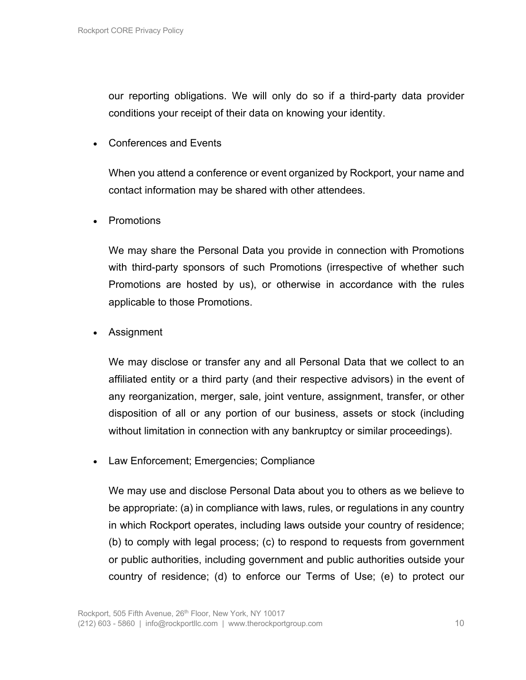our reporting obligations. We will only do so if a third-party data provider conditions your receipt of their data on knowing your identity.

• Conferences and Events

When you attend a conference or event organized by Rockport, your name and contact information may be shared with other attendees.

• Promotions

We may share the Personal Data you provide in connection with Promotions with third-party sponsors of such Promotions (irrespective of whether such Promotions are hosted by us), or otherwise in accordance with the rules applicable to those Promotions.

• Assignment

We may disclose or transfer any and all Personal Data that we collect to an affiliated entity or a third party (and their respective advisors) in the event of any reorganization, merger, sale, joint venture, assignment, transfer, or other disposition of all or any portion of our business, assets or stock (including without limitation in connection with any bankruptcy or similar proceedings).

• Law Enforcement; Emergencies; Compliance

We may use and disclose Personal Data about you to others as we believe to be appropriate: (a) in compliance with laws, rules, or regulations in any country in which Rockport operates, including laws outside your country of residence; (b) to comply with legal process; (c) to respond to requests from government or public authorities, including government and public authorities outside your country of residence; (d) to enforce our Terms of Use; (e) to protect our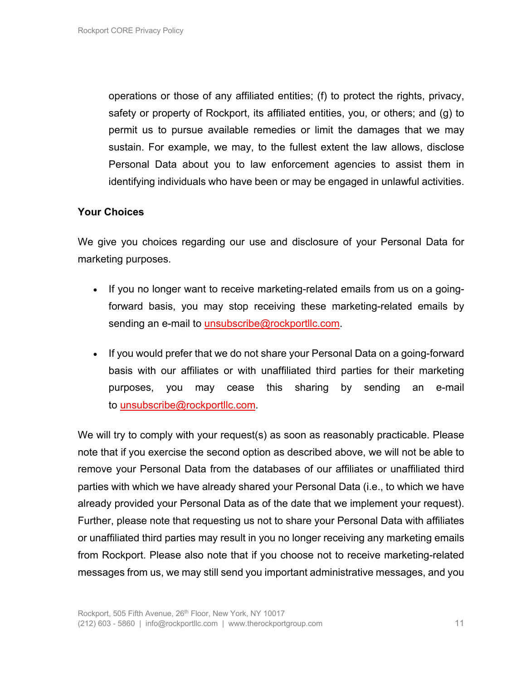operations or those of any affiliated entities; (f) to protect the rights, privacy, safety or property of Rockport, its affiliated entities, you, or others; and (g) to permit us to pursue available remedies or limit the damages that we may sustain. For example, we may, to the fullest extent the law allows, disclose Personal Data about you to law enforcement agencies to assist them in identifying individuals who have been or may be engaged in unlawful activities.

# **Your Choices**

We give you choices regarding our use and disclosure of your Personal Data for marketing purposes.

- If you no longer want to receive marketing-related emails from us on a goingforward basis, you may stop receiving these marketing-related emails by sending an e-mail to unsubscribe@rockportllc.com.
- If you would prefer that we do not share your Personal Data on a going-forward basis with our affiliates or with unaffiliated third parties for their marketing purposes, you may cease this sharing by sending an e-mail to unsubscribe@rockportllc.com.

We will try to comply with your request(s) as soon as reasonably practicable. Please note that if you exercise the second option as described above, we will not be able to remove your Personal Data from the databases of our affiliates or unaffiliated third parties with which we have already shared your Personal Data (i.e., to which we have already provided your Personal Data as of the date that we implement your request). Further, please note that requesting us not to share your Personal Data with affiliates or unaffiliated third parties may result in you no longer receiving any marketing emails from Rockport. Please also note that if you choose not to receive marketing-related messages from us, we may still send you important administrative messages, and you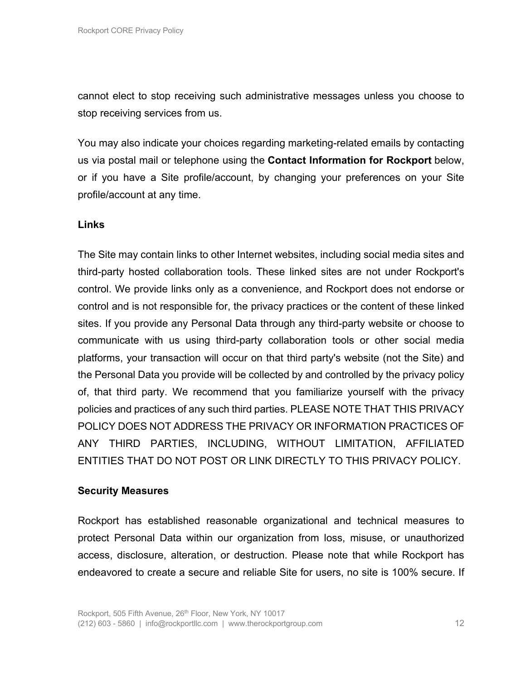cannot elect to stop receiving such administrative messages unless you choose to stop receiving services from us.

You may also indicate your choices regarding marketing-related emails by contacting us via postal mail or telephone using the **Contact Information for Rockport** below, or if you have a Site profile/account, by changing your preferences on your Site profile/account at any time.

#### **Links**

The Site may contain links to other Internet websites, including social media sites and third-party hosted collaboration tools. These linked sites are not under Rockport's control. We provide links only as a convenience, and Rockport does not endorse or control and is not responsible for, the privacy practices or the content of these linked sites. If you provide any Personal Data through any third-party website or choose to communicate with us using third-party collaboration tools or other social media platforms, your transaction will occur on that third party's website (not the Site) and the Personal Data you provide will be collected by and controlled by the privacy policy of, that third party. We recommend that you familiarize yourself with the privacy policies and practices of any such third parties. PLEASE NOTE THAT THIS PRIVACY POLICY DOES NOT ADDRESS THE PRIVACY OR INFORMATION PRACTICES OF ANY THIRD PARTIES, INCLUDING, WITHOUT LIMITATION, AFFILIATED ENTITIES THAT DO NOT POST OR LINK DIRECTLY TO THIS PRIVACY POLICY.

#### **Security Measures**

Rockport has established reasonable organizational and technical measures to protect Personal Data within our organization from loss, misuse, or unauthorized access, disclosure, alteration, or destruction. Please note that while Rockport has endeavored to create a secure and reliable Site for users, no site is 100% secure. If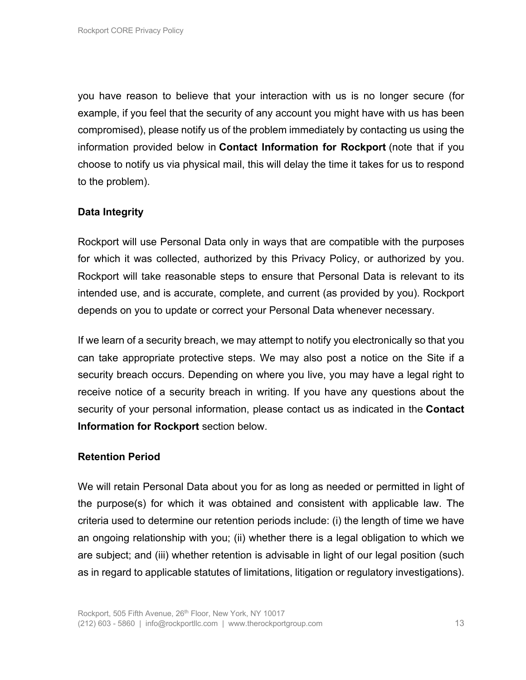you have reason to believe that your interaction with us is no longer secure (for example, if you feel that the security of any account you might have with us has been compromised), please notify us of the problem immediately by contacting us using the information provided below in **Contact Information for Rockport** (note that if you choose to notify us via physical mail, this will delay the time it takes for us to respond to the problem).

# **Data Integrity**

Rockport will use Personal Data only in ways that are compatible with the purposes for which it was collected, authorized by this Privacy Policy, or authorized by you. Rockport will take reasonable steps to ensure that Personal Data is relevant to its intended use, and is accurate, complete, and current (as provided by you). Rockport depends on you to update or correct your Personal Data whenever necessary.

If we learn of a security breach, we may attempt to notify you electronically so that you can take appropriate protective steps. We may also post a notice on the Site if a security breach occurs. Depending on where you live, you may have a legal right to receive notice of a security breach in writing. If you have any questions about the security of your personal information, please contact us as indicated in the **Contact Information for Rockport** section below.

#### **Retention Period**

We will retain Personal Data about you for as long as needed or permitted in light of the purpose(s) for which it was obtained and consistent with applicable law. The criteria used to determine our retention periods include: (i) the length of time we have an ongoing relationship with you; (ii) whether there is a legal obligation to which we are subject; and (iii) whether retention is advisable in light of our legal position (such as in regard to applicable statutes of limitations, litigation or regulatory investigations).